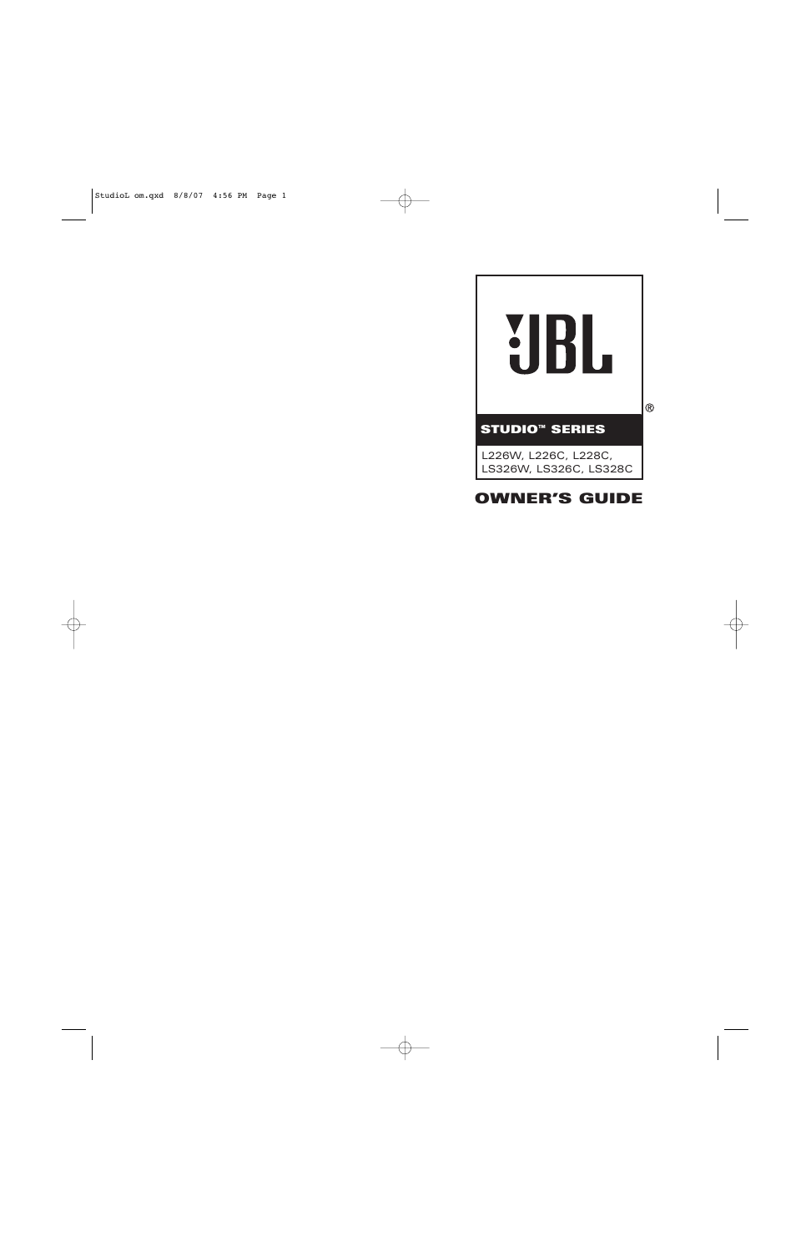

# **OWNER'S GUIDE**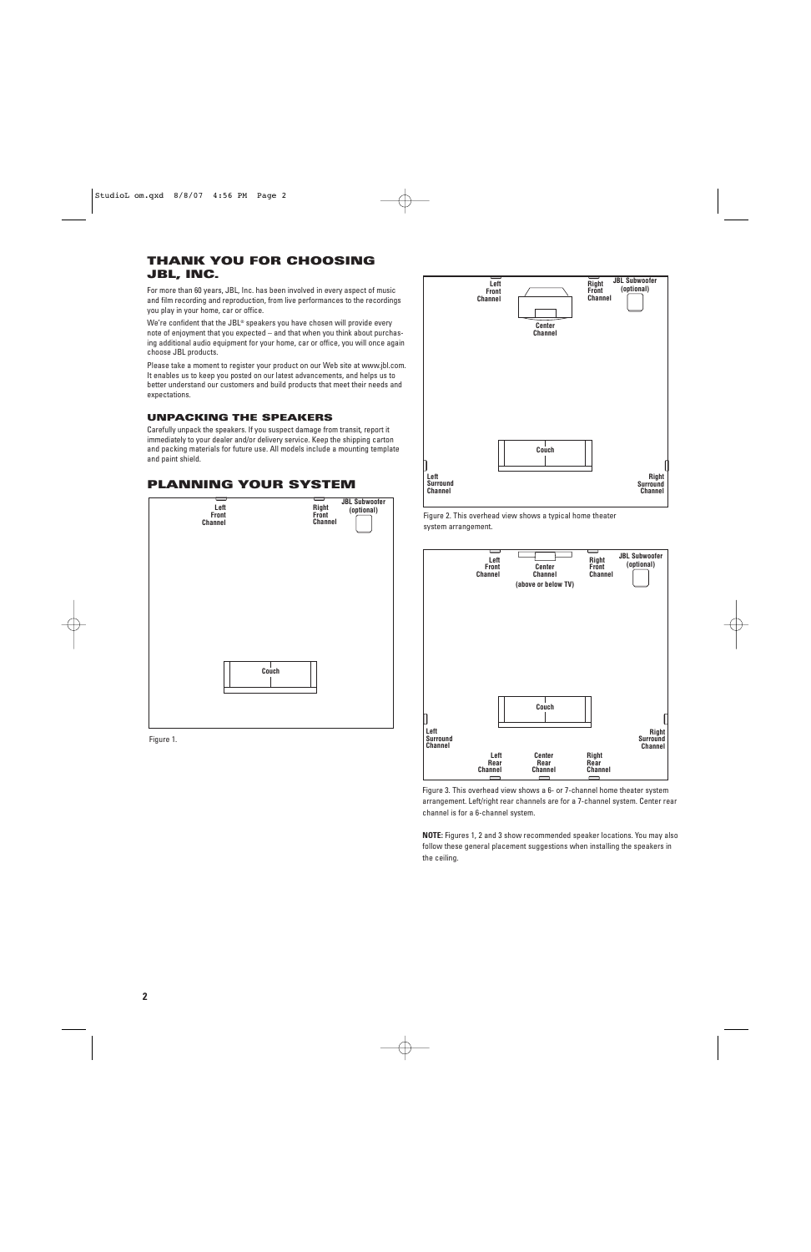# **THANK YOU FOR CHOOSING JBL, INC.**

For more than 60 years, JBL, Inc. has been involved in every aspect of music and film recording and reproduction, from live performances to the recordings you play in your home, car or office.

We're confident that the JBL® speakers you have chosen will provide every note of enjoyment that you expected – and that when you think about purchasing additional audio equipment for your home, car or office, you will once again choose JBL products.

Please take a moment to register your product on our Web site at www.jbl.com. It enables us to keep you posted on our latest advancements, and helps us to better understand our customers and build products that meet their needs and expectations.

## **UNPACKING THE SPEAKERS**

Carefully unpack the speakers. If you suspect damage from transit, report it immediately to your dealer and/or delivery service. Keep the shipping carton and packing materials for future use. All models include a mounting template and paint shield.

## **PLANNING YOUR SYSTEM**



Figure 1.

**Couch Left Front Channel Left Surround Channel Right Surround Channel Right Front Channel Center Channel JBL Subwoofer (optional)**

Figure 2. This overhead view shows a typical home theater system arrangement.



Figure 3. This overhead view shows a 6- or 7-channel home theater system arrangement. Left/right rear channels are for a 7-channel system. Center rear channel is for a 6-channel system.

**NOTE:** Figures 1, 2 and 3 show recommended speaker locations. You may also follow these general placement suggestions when installing the speakers in the ceiling.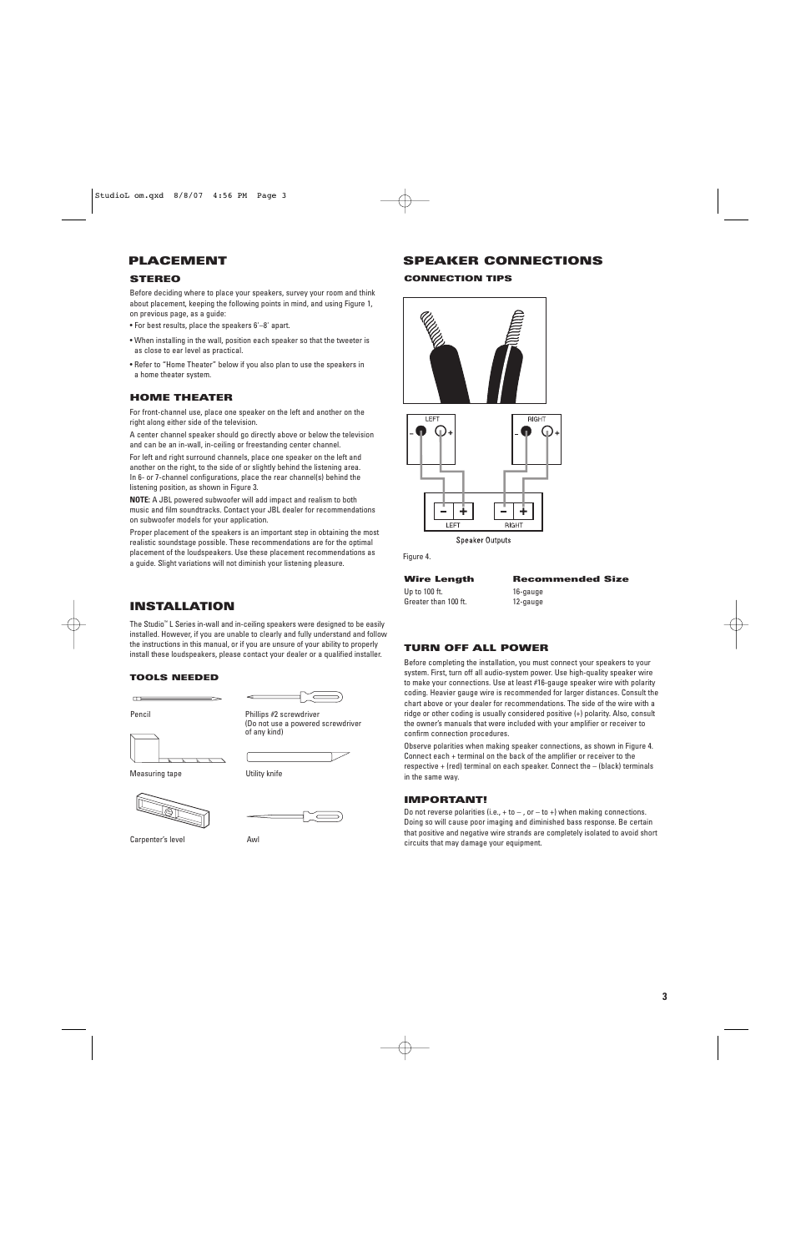## **PLACEMENT**

### **STEREO**

Before deciding where to place your speakers, survey your room and think about placement, keeping the following points in mind, and using Figure 1, on previous page, as a guide:

- For best results, place the speakers 6'–8' apart.
- When installing in the wall, position each speaker so that the tweeter is as close to ear level as practical.
- Refer to "Home Theater" below if you also plan to use the speakers in a home theater system.

### **HOME THEATER**

For front-channel use, place one speaker on the left and another on the right along either side of the television.

A center channel speaker should go directly above or below the television and can be an in-wall, in-ceiling or freestanding center channel.

For left and right surround channels, place one speaker on the left and another on the right, to the side of or slightly behind the listening area. In 6- or 7-channel configurations, place the rear channel(s) behind the listening position, as shown in Figure 3.

**NOTE:** A JBL powered subwoofer will add impact and realism to both music and film soundtracks. Contact your JBL dealer for recommendations on subwoofer models for your application.

Proper placement of the speakers is an important step in obtaining the most realistic soundstage possible. These recommendations are for the optimal placement of the loudspeakers. Use these placement recommendations as a guide. Slight variations will not diminish your listening pleasure.

# **INSTALLATION**

The Studio™ L Series in-wall and in-ceiling speakers were designed to be easily installed. However, if you are unable to clearly and fully understand and follow the instructions in this manual, or if you are unsure of your ability to properly install these loudspeakers, please contact your dealer or a qualified installer.

### **TOOLS NEEDED**

(Do not use a powered screwdriver

Phillips #2 screwdriver

of any kind)

Pencil

 $\mathbf{r}$ 

Measuring tape **Willems** Utility knife



Carpenter's level **Awl** 

## **SPEAKER CONNECTIONS**

### **CONNECTION TIPS**



**Speaker Outputs** 

Figure 4.

Up to 100 ft. 16-gauge Greater than 100 ft. 12-gauge

**Wire Length Recommended Size**

## **TURN OFF ALL POWER**

Before completing the installation, you must connect your speakers to your system. First, turn off all audio-system power. Use high-quality speaker wire to make your connections. Use at least #16-gauge speaker wire with polarity coding. Heavier gauge wire is recommended for larger distances. Consult the chart above or your dealer for recommendations. The side of the wire with a ridge or other coding is usually considered positive (+) polarity. Also, consult the owner's manuals that were included with your amplifier or receiver to confirm connection procedures.

Observe polarities when making speaker connections, as shown in Figure 4. Connect each + terminal on the back of the amplifier or receiver to the respective + (red) terminal on each speaker. Connect the – (black) terminals in the same way.

### **IMPORTANT!**

Do not reverse polarities (i.e.,  $+$  to  $-$  , or  $-$  to  $+$ ) when making connections. Doing so will cause poor imaging and diminished bass response. Be certain that positive and negative wire strands are completely isolated to avoid short circuits that may damage your equipment.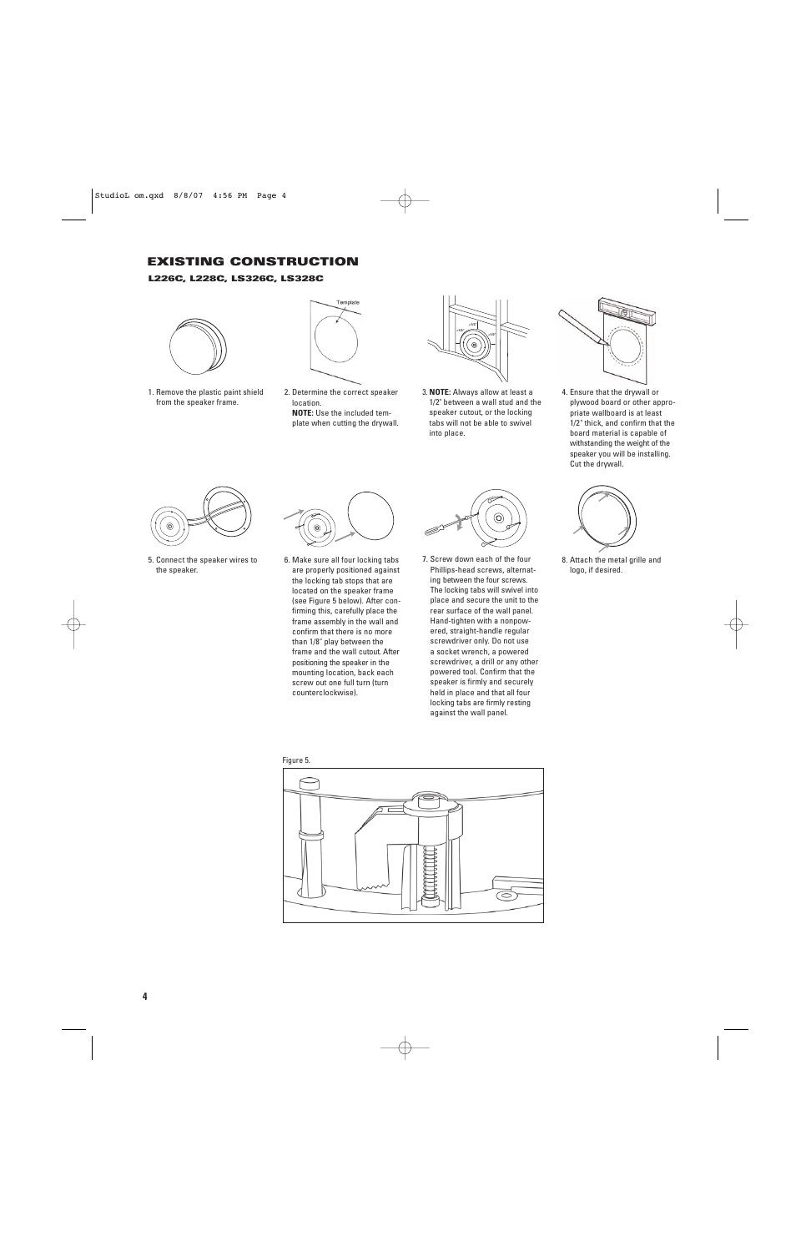## **EXISTING CONSTRUCTION**

### **L226C, L228C, LS326C, LS328C**



1. Remove the plastic paint shield from the speaker frame.



2. Determine the correct speaker location. **NOTE:** Use the included template when cutting the drywall.



3. **NOTE:** Always allow at least a 1/2" between a wall stud and the speaker cutout, or the locking tabs will not be able to swivel into place.



4. Ensure that the drywall or plywood board or other appropriate wallboard is at least 1/2" thick, and confirm that the board material is capable of withstanding the weight of the speaker you will be installing. Cut the drywall.



5. Connect the speaker wires to the speaker.



6. Make sure all four locking tabs are properly positioned against the locking tab stops that are located on the speaker frame (see Figure 5 below). After confirming this, carefully place the frame assembly in the wall and confirm that there is no more than 1/8" play between the frame and the wall cutout. After positioning the speaker in the mounting location, back each screw out one full turn (turn counterclockwise).



7. Screw down each of the four Phillips-head screws, alternating between the four screws. The locking tabs will swivel into place and secure the unit to the rear surface of the wall panel. Hand-tighten with a nonpowered, straight-handle regular screwdriver only. Do not use a socket wrench, a powered screwdriver, a drill or any other powered tool. Confirm that the speaker is firmly and securely held in place and that all four locking tabs are firmly resting against the wall panel.



8. Attach the metal grille and logo, if desired.



Figure 5.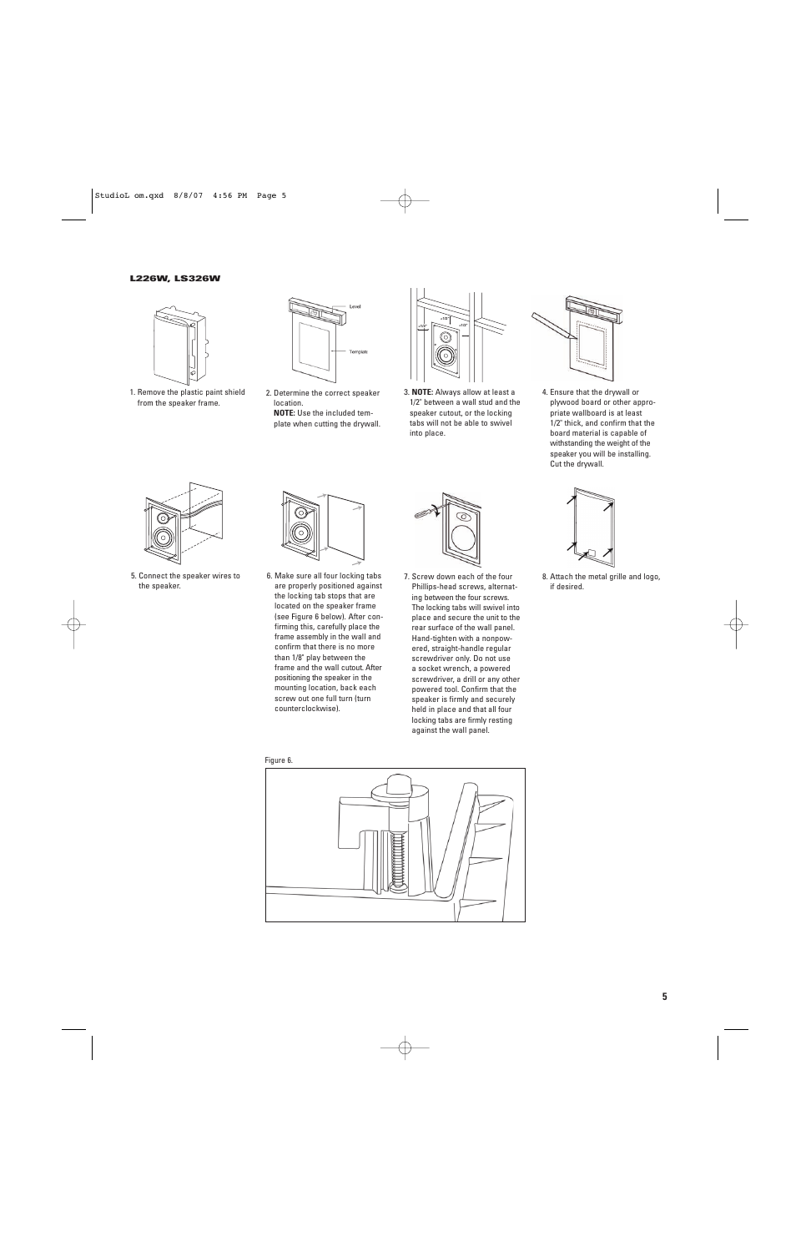### **L226W, LS326W**



1. Remove the plastic paint shield from the speaker frame.



2. Determine the correct speaker location. **NOTE:** Use the included template when cutting the drywall.



3. **NOTE:** Always allow at least a 1/2" between a wall stud and the speaker cutout, or the locking tabs will not be able to swivel into place.



4. Ensure that the drywall or plywood board or other appropriate wallboard is at least 1/2" thick, and confirm that the board material is capable of withstanding the weight of the speaker you will be installing. Cut the drywall.



5. Connect the speaker wires to the speaker.



6. Make sure all four locking tabs are properly positioned against the locking tab stops that are located on the speaker frame (see Figure 6 below). After confirming this, carefully place the frame assembly in the wall and confirm that there is no more than 1/8" play between the frame and the wall cutout. After positioning the speaker in the mounting location, back each screw out one full turn (turn counterclockwise).



7. Screw down each of the four Phillips-head screws, alternating between the four screws. The locking tabs will swivel into place and secure the unit to the rear surface of the wall panel. Hand-tighten with a nonpowered, straight-handle regular screwdriver only. Do not use a socket wrench, a powered screwdriver, a drill or any other powered tool. Confirm that the speaker is firmly and securely held in place and that all four locking tabs are firmly resting against the wall panel.



8. Attach the metal grille and logo, if desired.



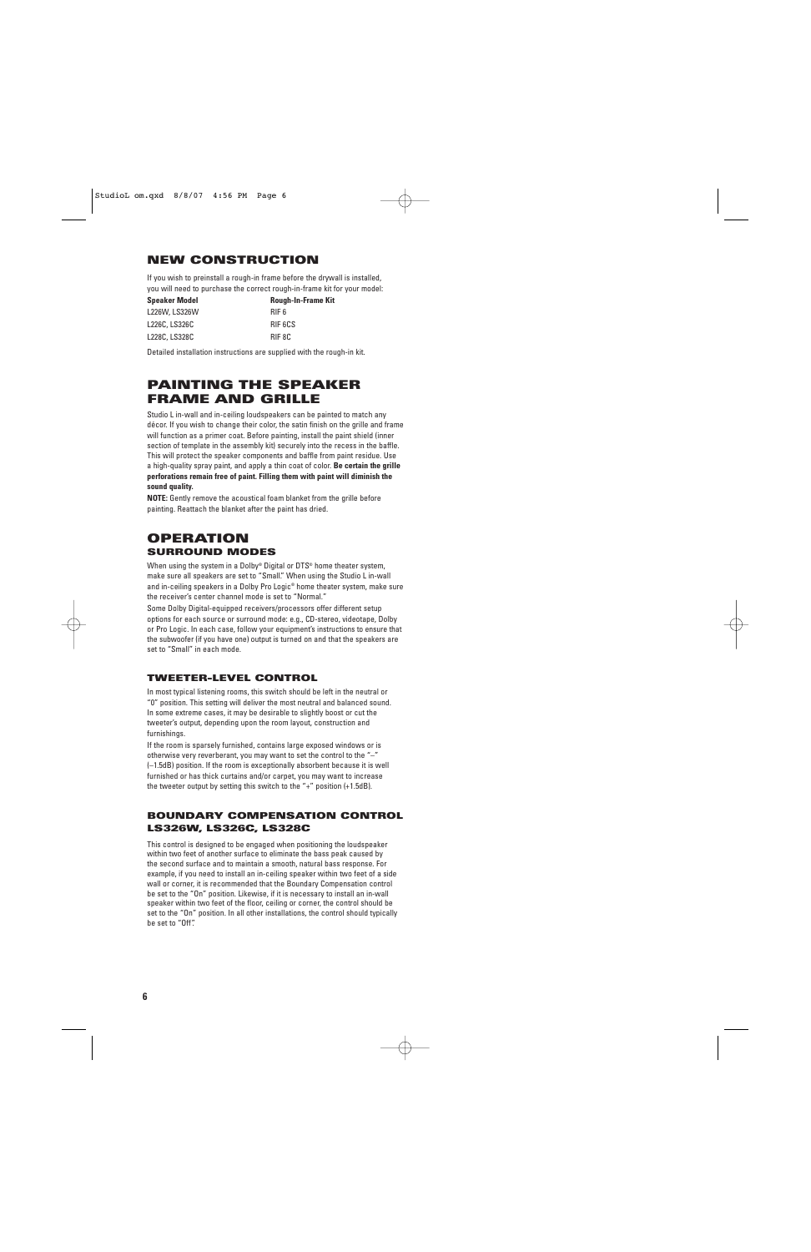## **NEW CONSTRUCTION**

If you wish to preinstall a rough-in frame before the drywall is installed, you will need to purchase the correct rough-in-frame kit for your model:

| <b>Speaker Model</b> | <b>Rough-In-Frame Kit</b> |
|----------------------|---------------------------|
| L226W, LS326W        | RIF 6                     |
| L226C, LS326C        | RIF 6CS                   |
| L228C, LS328C        | RIF 8C                    |

Detailed installation instructions are supplied with the rough-in kit.

# **PAINTING THE SPEAKER FRAME AND GRILLE**

Studio L in-wall and in-ceiling loudspeakers can be painted to match any décor. If you wish to change their color, the satin finish on the grille and frame will function as a primer coat. Before painting, install the paint shield (inner section of template in the assembly kit) securely into the recess in the baffle. This will protect the speaker components and baffle from paint residue. Use a high-quality spray paint, and apply a thin coat of color. **Be certain the grille perforations remain free of paint. Filling them with paint will diminish the sound quality.**

**NOTE:** Gently remove the acoustical foam blanket from the grille before painting. Reattach the blanket after the paint has dried.

## **OPERATION SURROUND MODES**

When using the system in a Dolby® Digital or DTS® home theater system, make sure all speakers are set to "Small." When using the Studio L in-wall and in-ceiling speakers in a Dolby Pro Logic® home theater system, make sure the receiver's center channel mode is set to "Normal."

Some Dolby Digital-equipped receivers/processors offer different setup options for each source or surround mode: e.g., CD-stereo, videotape, Dolby or Pro Logic. In each case, follow your equipment's instructions to ensure that the subwoofer (if you have one) output is turned on and that the speakers are set to "Small" in each mode.

## **TWEETER-LEVEL CONTROL**

In most typical listening rooms, this switch should be left in the neutral or "0" position. This setting will deliver the most neutral and balanced sound. In some extreme cases, it may be desirable to slightly boost or cut the tweeter's output, depending upon the room layout, construction and furnishings.

If the room is sparsely furnished, contains large exposed windows or is otherwise very reverberant, you may want to set the control to the "–" (–1.5dB) position. If the room is exceptionally absorbent because it is well furnished or has thick curtains and/or carpet, you may want to increase the tweeter output by setting this switch to the "+" position (+1.5dB).

## **BOUNDARY COMPENSATION CONTROL LS326W, LS326C, LS328C**

This control is designed to be engaged when positioning the loudspeaker within two feet of another surface to eliminate the bass peak caused by the second surface and to maintain a smooth, natural bass response. For example, if you need to install an in-ceiling speaker within two feet of a side wall or corner, it is recommended that the Boundary Compensation control be set to the "On" position. Likewise, if it is necessary to install an in-wall speaker within two feet of the floor, ceiling or corner, the control should be set to the "On" position. In all other installations, the control should typically be set to "Off".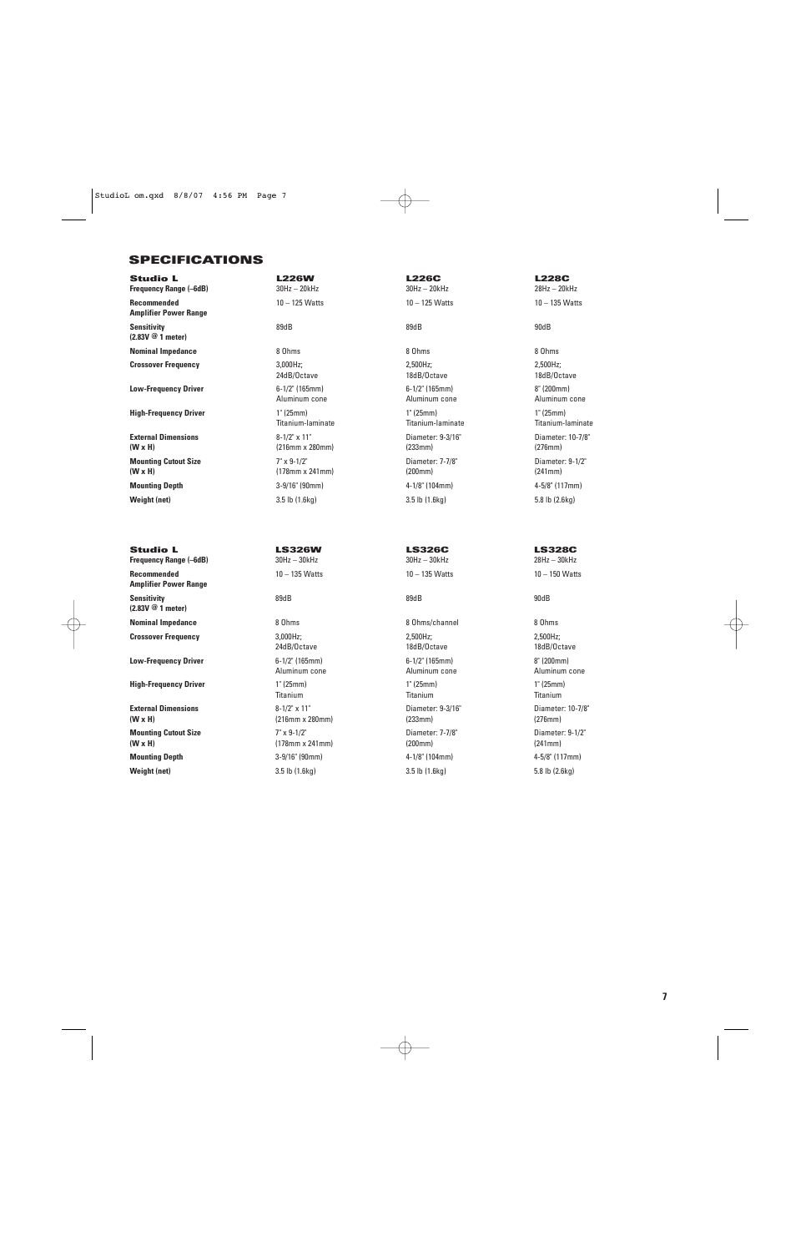## **SPECIFICATIONS**

**Frequency Range (–6dB)** 30Hz – 20kHz 30Hz – 20kHz 28Hz – 20kHz **Recommended** 10 – 125 Watts 10 – 125 Watts 10 – 135 Watts **Amplifier Power Range Sensitivity** 89dB 89dB 90dB **(2.83V @ 1 meter) Nominal Impedance** 8 Ohms 8 Ohms 8 Ohms

**Low-Frequency Driver 6-1/2" (165mm)** 6-1/2" (165mm) 6-1/2" (165mm) 8" (200mm)

**High-Frequency Driver** 1" (25mm) 1" (25mm) 1" (25mm) 1" (25mm) 1" (25mm)

**External Dimensions** 8-1/2" x 11" Diameter: 9-3/16" Diameter: 10-7/8" **(W x H)** (216mm x 280mm) (233mm) (276mm) **Mounting Cutout Size** 7" x 9-1/2" Diameter: 7-7/8" Diameter: 9-1/2" **(W x H)** (178mm x 241mm) (200mm) **Mounting Depth** 3-9/16" (90mm) 4-1/8" (104mm) 4-5/8" (117mm)

**Frequency Range (-6dB) Recommended** 10 – 135 Watts 10 – 135 Watts 10 – 150 Watts **Amplifier Power Range Sensitivity** 89dB 89dB 90dB **(2.83V @ 1 meter) Nominal Impedance** 8 Ohms 8 Ohms 8 Ohms 8 Ohms/channel 8 Ohms 8 Ohms **Crossover Frequency** 2,000Hz; 2,000Hz; 2,500Hz; 2,500Hz; 2,500Hz; 2,500Hz; 2,500Hz; 2,500Hz; 2,500Hz; 2,500Hz; 2,500Hz; 2,500Hz; 2,500Hz; 2,500Hz; 2,500Hz; 2,500Hz; 2,500Hz; 2,500Hz; 2,500Hz; 2,500Hz; 2,500Hz; 2,500Hz; 2,

**High-Frequency Driver 1''** (25mm) 1'' (25mm) 1'' (25mm) 1'' (25mm) 1'' (25mm)

**External Dimensions 8-1/2" x 11"** Diameter: 9-3/16" Diameter: 0-7/8"<br> **(W x H)** (276mm) (216mm x 280mm) (233mm) (233mm) (233mm) (276mm) **Mounting Cutout Size 7**" x 9-1/2" Diameter: 7-7/8" Diameter: 7-7/8" Diameter: 9-1/2" **(W x H)** (178mm x 241mm) (200mm) (241mm) **Mounting Depth** 3-9/16" (90mm) 4-1/8" (104mm) 4-5/8" (117mm) **Weight (net)** 3.5 lb (1.6kg) 3.5 lb (1.6kg) 5.8 lb (2.6kg)

**Studio L L226W L226C L228C**

**Crossover Frequency** 3,000Hz; 2,500Hz; 2,500Hz; 24dB/Octave 18dB/Octave 18dB/Octave Aluminum cone Aluminum cone Aluminum cone Titanium-laminate Titanium-laminate Titanium-laminate **Weight (net)** 3.5 lb (1.6kg) 3.5 lb (1.6kg) 5.8 lb (2.6kg)

**Low-Frequency Driver** 6-1/2" (165mm) 6-1/2" (165mm) 8" (200mm) Titanium Titanium Titanium **(W x H)** (216mm x 280mm) (233mm) (276mm)

**Studio L<br>
Frequency Range (-6dB) LS326W LS326C LS328C**<br>  $30Hz - 30kHz$   $30Hz - 30kHz$   $30Hz - 30kHz$   $30Hz - 30kHz$   $30Hz - 30kHz$ 

24dB/Octave 18dB/Octave 18dB/Octave Aluminum cone